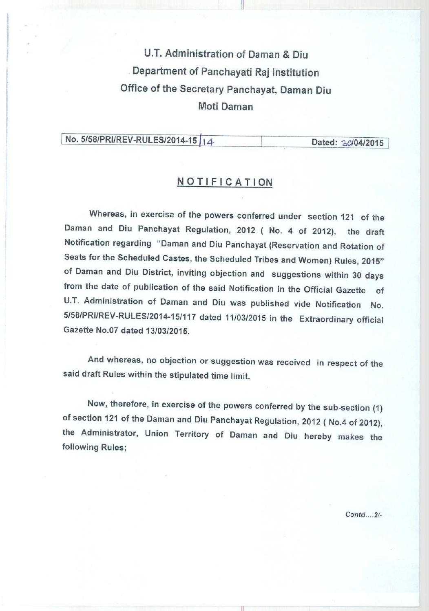U.T. Administration of Daman & Diu Department of Panchayati Raj Institution Office of the Secretary Panchayat, Daman Diu **Moti Daman**

I

## **No. 5/58/PRI/REV-RULES/2014-15 | 14** Dated: 30/04/2015

### **NOTIFICATION**

**Whereas, in exercise of the powers conferred under section 121 of the** Daman and Diu Panchayat Regulation, 2012 ( No. 4 of 2012), the draft **Notification regarding** " **Daman and Diu Panchayat** ( **Reservation and Rotation of Seats for the Scheduled Castes** , **the Scheduled Tribes and Women** ) **Rules, 2015" of Daman and Diu District**, **inviting objection and suggestions within 30 days** from the date of publication of the said Notification in the Official Gazette of U.T. Administration of Daman and Diu was published vide Notification No. 5158/PRI/REV-RULES/2014-15/117 dated 11/03/2015 in the Extraordinary official Gazette No.07 dated 13/03/2015.

And whereas, no objection or suggestion was received in respect of the **said draft Rules within the stipulated time limit.**

Now, therefore, in exercise of the powers conferred by the sub-section (1) **of section 121 of the Daman and Diu Panchayat Regulation** , **2012** ( **No.4 of 2012),** the Administrator, Union Territory of Daman and Diu hereby makes the **following Rules;**

Contd.... **2/-**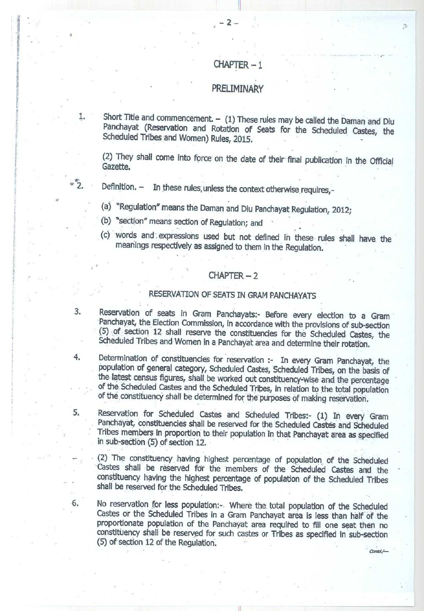## CHAPTER

#### PRELIMINARY

1. Short Title and commencement. - (1) These rules may be called the Daman and Diu **Panchayat** (**Reservation and Rotation of Seats for the Scheduled Castes, the** Scheduled Tribes and Women) Rules, 2015.

**(2) They shall come into force on the date of their final publication in the Official Gazette.**

2. Definition. - In these rules, unless the context otherwise requires,-

**(a) "Regulation** " **means the Daman and Diu Panchayat Regulation, 2012;**

**(b) "section**" **means section of Regulation; and**

**(c) words and'. expressions used but not defined in these rules shall have the meanings respectively as assigned to them in the Regulation.**

#### $CHAPTER - 2$

### RESERVATION OF SEATS IN GRAM PANCHAYATS

**3. Reservation of seats in Gram Panchayats**:- **Before every election to a Gram Panchayat**, **the Election Commission** , **in accordance** with the provisions **of sub**-**section** (5) of section **12 shall reserve the constituencies** for the Scheduled **Castes, the** Scheduled Tribes and **Women in a Panchayat area and determine** their rotation.

**4. Determination of constituencies for reservation** :- **In eve**ry Gram **Panchayat, the population of general category**, **Scheduled Castes, Scheduled** Tribes, on the **basis of** the latest census figures, shall be worked **out constituency**: wise and. **the percentage** of the Scheduled **Castes and the Scheduled** Tribes, **in relation to the total population** of the. constituency **shall be determined for the purposes of making reservation.**

**5. Reservation** for Scheduled **Castes and Scheduled** Tribes:- (1) In every Gram **Panchayat, constituencies shall be reserved for the Scheduled Castes and Scheduled Tribes members in proportion to their population in that Panchayat area as specified in sub**-**section** (5) of section 12.

(2) The constituency having highest **percentage of population** of the Scheduled **,Castes shall be reserved for the members** of the Scheduled **Castes and the** constituency **having the highest percentage of population** of the Scheduled Tribes **shall be reserved for the Scheduled** Tribes.

**6. No reservation for less population** :-. Where the**, total population of the Scheduled** Castes or **the Scheduled** Tribes in a Gram **Panchayat area is less than half of the proportionate population** of the Panchayat **area required to fill one seat then no** constituency **shall be reserved for such castes or Tribes as specified in sub-section** (**5) of section** 12 of **the Regulation.**

 $\text{Control}$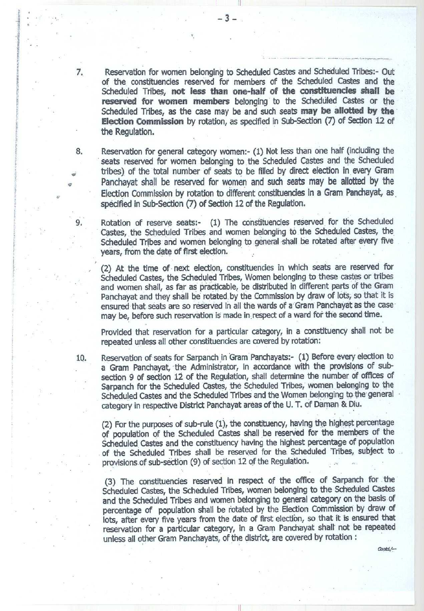7. Reservation for women belonging to Scheduled Castes and Scheduled Tribes:- Out of the constituencies reserved for members of the Scheduled Castes and the Scheduled Tribes, **not less than one-half of the constituencies shall be reserved for women members**s belonging to the Scheduled Castes or the Scheduled Tribes, as the case may be and such seats **may be allotted by the Election Commission** by rotation, as specified in Sub-Section (7) of Section 12 of the Regulation.

**8.** Reservation for general category women:- (1) Not less than one half (including the **seats reserved for women belonging to the Scheduled Castes and the Scheduled tribes**) **of the total number of seats to be filled by direct election in every Gram Panchayat shall be reserved for women and such seats may be allotted by the Election Commission by rotation to different constituencies in a Gram Panchayat, as. specified in Sub**-**Section** (**7) of Section 12 of the Regulation.**

Rotation of reserve seats:- (1) The constituencies reserved for the Scheduled **Castes**, **the Scheduled Tribes and women belonging to the Scheduled Castes, the Scheduled Tribes and women belonging to general shall be rotated after every five years, from the date of first election.**

**(2) At the time of next election**, **constituencies in which seats are reserved for Scheduled Castes, the Scheduled Tribes, Women belonging to these castes or tribes and women shall, as far as practicable**, **be distributed in different parts of the Gram Panchayat and they shall be rotated. by the Commission by draw of lots, so that it is ensured that seats are so reserved in all the wards of a Gram Panchayat as the case** may be, before such reservation is made in respect of a ward for the second time.

**Provided that reservation for a particular category** , **in a constituency shall not be repeated unless all other constituencies are covered by rotation:**

**10. Reservation of seats for Sarpanch in Gram Panchayats** :- (**1) Before every election to a Gram Panchayat**, **the Administrator**, **in accordance with the provisions of subsection 9 of section 12 of the Regulation** , **shall determine the number of offices of Sarpanch for the Scheduled Castes, the Scheduled Tribes, women belonging to the** Scheduled Castes and the Scheduled Tribes and the Women belonging to the general **category in respective District Panchayat areas of the U. T. of Daman & Diu.**

**(2) For the purposes of sub** -**rule (1**), **the constituency, having the highest percentage of population of the Scheduled Castes shall be reserved for the members of the Scheduled Castes and the constituency having the highest percentage of population of the Scheduled Tribes shall be reserved for the** . **Scheduled Tribes, subject to provisions of sub-section** (**9) of section 12 of the Regulation.**

**(3) The constituencies reserved in respect of the office of Sarpanch for the Scheduled Castes, the Scheduled Tribes, women belonging to the Scheduled Castes and the Scheduled Tribes and women belonging to general category on the basis of percentage of population shall be rotated by the Election Commission by draw of lots, after every five years from the date of first election, so that it is ensured that reservation for a particular category**, **in a Gram Panchayat shall\* not be repeated unless all other Gram Panchayats, of the district**, **are covered by rotation :**

Contd./--